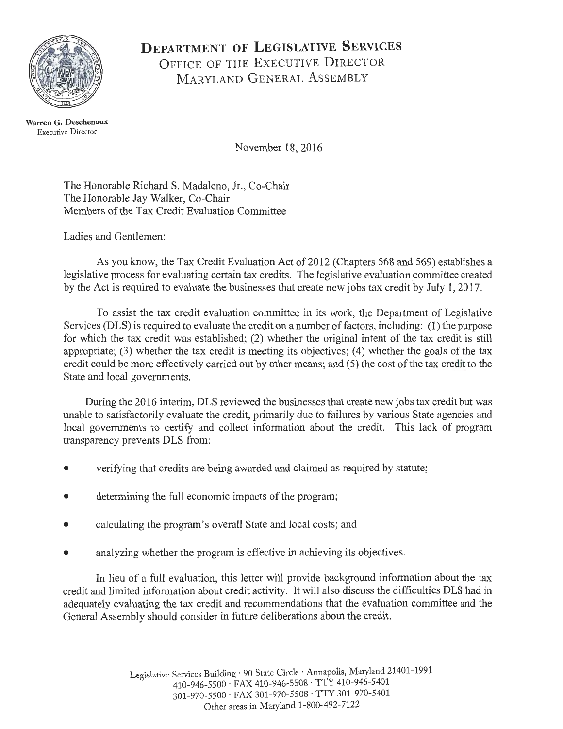

# **DEPARTMENT OF LEGISLATIVE SERVICES**  OFFICE OF THE EXECUTIVE DIRECTOR MARYLAND GENERAL ASSEMBLY

**Warren G. Deschenaux**  Executive Director

November 18, 2016

The Honorable Richard S. Madaleno, Jr., Co-Chair The Honorable Jay Walker, Co-Chair Members of the Tax Credit Evaluation Committee

Ladies and Gentlemen:

As you know, the Tax Credit Evaluation Act of 2012 (Chapters 568 and 569) establishes a legislative process for evaluating certain tax credits. The legislative evaluation committee created by the Act is required to evaluate the businesses that create new jobs tax credit by July 1, 2017.

To assist the tax credit evaluation committee in its work, the Department of Legislative Services (DLS) is required to evaluate the credit on a number of factors, including: (1) the purpose for which the tax credit was established; (2) whether the original intent of the tax credit is still appropriate;  $(3)$  whether the tax credit is meeting its objectives;  $(4)$  whether the goals of the tax credit could be more effectively carried out by other means; and (5) the cost of the tax credit to the State and local governments.

During the 2016 interim, DLS reviewed the businesses that create new jobs tax credit but was unable to satisfactorily evaluate the credit, primarily due to failures by various State agencies and local governments to certify and collect information about the credit. This lack of program transparency prevents DLS from:

- verifying that credits are being awarded and claimed as required by statute;
- determining the full economic impacts of the program;
- calculating the program's overall State and local costs; and
- analyzing whether the program is effective in achieving its objectives.

In lieu of a full evaluation, this letter will provide background information about the tax credit and limited information about credit activity. It will also discuss the difficulties DLS had in adequately evaluating the tax credit and recommendations that the evaluation committee and the General Assembly should consider in future deliberations about the credit.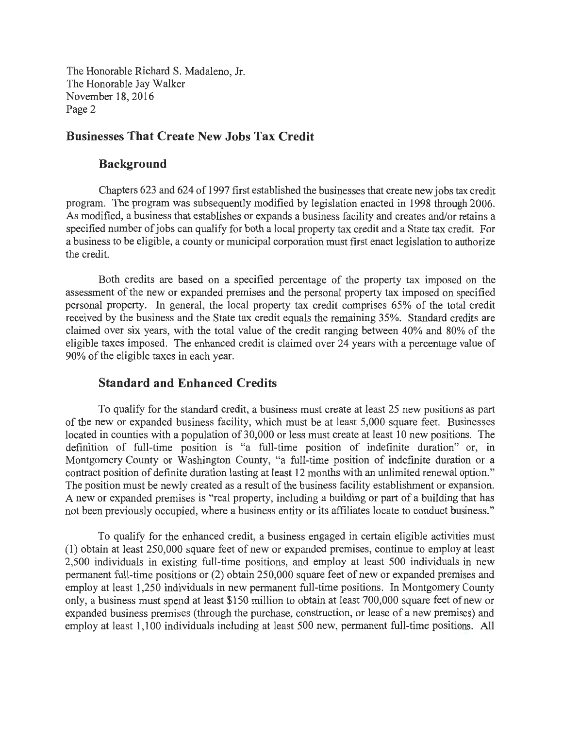#### **Businesses That Create New Jobs Tax Credit**

#### **Background**

Chapters 623 and 624 of 1997 first established the businesses that create new jobs tax credit program. The program was subsequently modified by legislation enacted in 1998 through 2006. As modified, a business that establishes or expands a business facility and creates and/or retains a specified number of jobs can qualify for both a local property tax credit and a State tax credit. For a business to be eligible, a county or municipal corporation must first enact legislation to authorize the credit.

Both credits are based on a specified percentage of the property tax imposed on the assessment of the new or expanded premises and the personal property tax imposed on specified personal property. In general, the local property tax credit comprises 65% of the total credit received by the business and the State tax credit equals the remaining 35%. Standard credits are claimed over six years, with the total value of the credit ranging between 40% and 80% of the eligible taxes imposed. The enhanced credit is claimed over 24 years with a percentage value of 90% of the eligible taxes in each year.

#### **Standard and Enhanced Credits**

To qualify for the standard credit, a business must create at least 25 new positions as part of the new or expanded business facility, which must be at least 5,000 square feet. Businesses located in counties with a population of 30,000 or less must create at least 10 new positions. The definition of full-time position is "a full-time position of indefinite duration" or, in Montgomery County or Washington County, "a full-time position of indefinite duration or a contract position of definite duration lasting at least 12 months with an unlimited renewal option." The position must be newly created as a result of the business facility establishment or expansion. A new or expanded premises is "real property, including a building or part of a building that has not been previously occupied, where a business entity or its affiliates locate to conduct business."

To qualify for the enhanced credit, a business engaged in certain eligible activities must (1) obtain at least 250,000 square feet of new or expanded premises, continue to employ at least 2,500 individuals in existing full-time positions, and employ at least 500 individuals in new permanent full-time positions or (2) obtain 250,000 square feet of new or expanded premises and employ at least 1,250 individuals in new permanent full-time positions. In Montgomery County only, a business must spend at least \$150 million to obtain at least 700,000 square feet of new or expanded business premises (through the purchase, construction, or lease of a new premises) and employ at least 1,100 individuals including at least 500 new, permanent full-time positions. All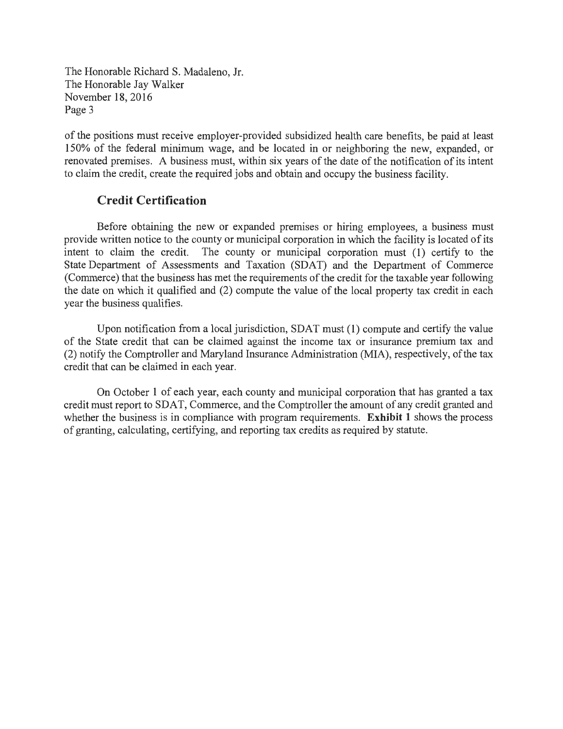of the positions must receive employer-provided subsidized health care benefits, be paid at least 150% of the federal minimum wage, and be located in or neighboring the new, expanded, or renovated premises. A business must, within six years of the date of the notification of its intent to claim the credit, create the required jobs and obtain and occupy the business facility.

### **Credit Certification**

Before obtaining the new or expanded premises or hiring employees, a business must provide written notice to the county or municipal corporation in which the facility is located of its intent to claim the credit. The county or municipal corporation must (1) certify to the State Department of Assessments and Taxation (SDAT) and the Department of Commerce (Commerce) that the business has met the requirements of the credit for the taxable year following the date on which it qualified and  $(2)$  compute the value of the local property tax cred<sub>it in</sub> each year the business qualifies.

Upon notification from a local jurisdiction, SDAT must (1) compute and certify the value of the State credit that can be claimed against the income tax or insurance premium tax and (2) notify the Comptroller and Maryland Insurance Administration (MIA), respectively, of the tax credit that can be claimed in each year.

On October 1 of each year, each county and municipal corporation that has granted a tax credit must report to SDAT, Commerce, and the Comptroller the amount of any credit granted and whether the business is in compliance with program requirements. **Exhibit 1** shows the process of granting, calculating, certifying, and reporting tax credits as required by statute.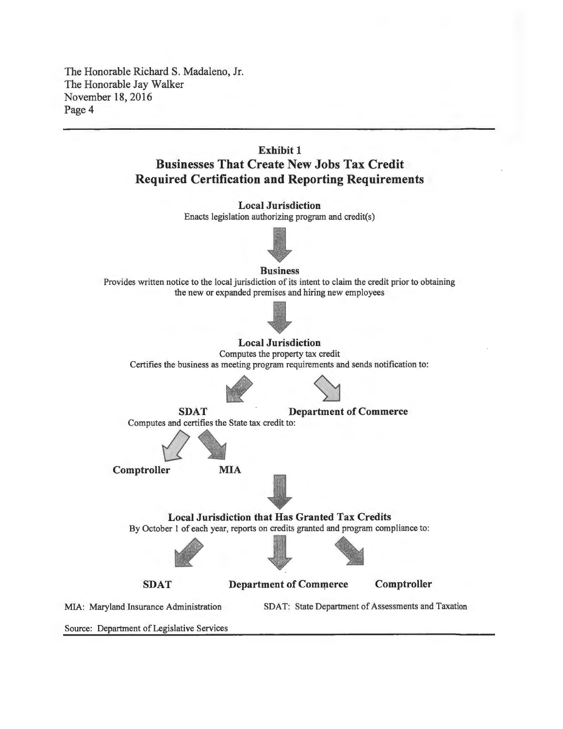# **Exhibit 1 Businesses That Create New Jobs Tax Credit Required Certification and Reporting Requirements**



Source: Department of Legislative Services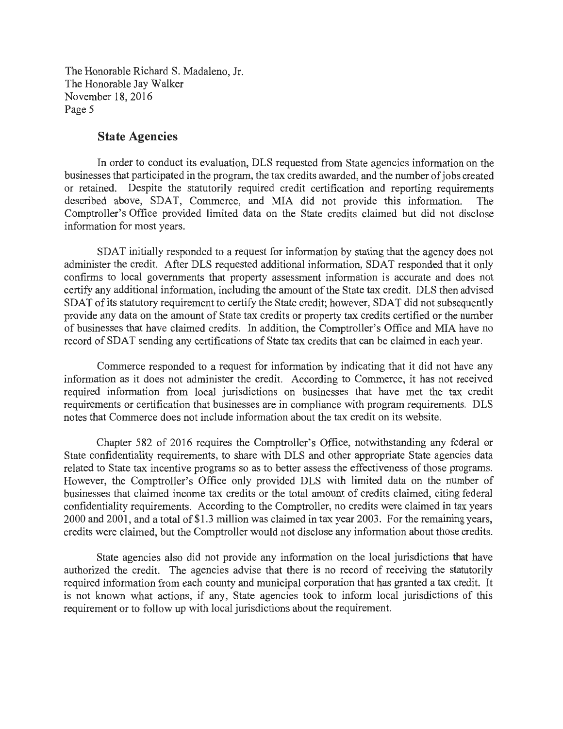#### **State Agencies**

In order to conduct its evaluation, DLS requested from State agencies information on the businesses that participated in the program, the tax credits awarded, and the number of jobs created or retained. Despite the statutorily required credit certification and reporting requirements described above, SDAT, Commerce, and MIA did not provide this information. The Comptroller's Office provided limited data on the State credits claimed but did not disclose information for most years.

SDAT initially responded to a request for information by stating that the agency does not administer the credit. After DLS requested additional information, SDAT responded that it only confirms to local governments that property assessment information is accurate and does not certify any additional information, including the amount of the State tax credit. DLS then advised SDAT of its statutory requirement to certify the State credit; however, SDAT did not subsequently provide any data on the amount of State tax credits or property tax credits certified or the number of businesses that have claimed credits. In addition, the Comptroller's Office and MIA have no record of SDAT sending any certifications of State tax credits that can be claimed in each year.

Commerce responded to a request for information by indicating that it did not have any information as it does not administer the credit. According to Commerce, it has not received required information from local jurisdictions on businesses that have met the tax credit requirements or certification that businesses are in compliance with program requirements. DLS notes that Commerce does not include information about the tax credit on its website.

Chapter 582 of 2016 requires the Comptroller's Office, notwithstanding any federal or State confidentiality requirements, to share with DLS and other appropriate State agencies data related to State tax incentive programs so as to better assess the effectiveness of those programs. However, the Comptroller's Office only provided DLS with limited data on the number of businesses that claimed income tax credits or the total amount of credits claimed, citing federal confidentiality requirements. According to the Comptroller, no credits were claimed in tax years 2000 and 2001, and a total of \$1.3 million was claimed in tax year 2003. For the remaining years, credits were claimed, but the Comptroller would not disclose any information about those credits.

State agencies also did not provide any information on the local jurisdictions that have authorized the credit. The agencies advise that there is no record of receiving the statutorily required information from each county and municipal corporation that has granted a tax credit. It is not known what actions, if any, State agencies took to inform local jurisdictions of this requirement or to follow up with local jurisdictions about the requirement.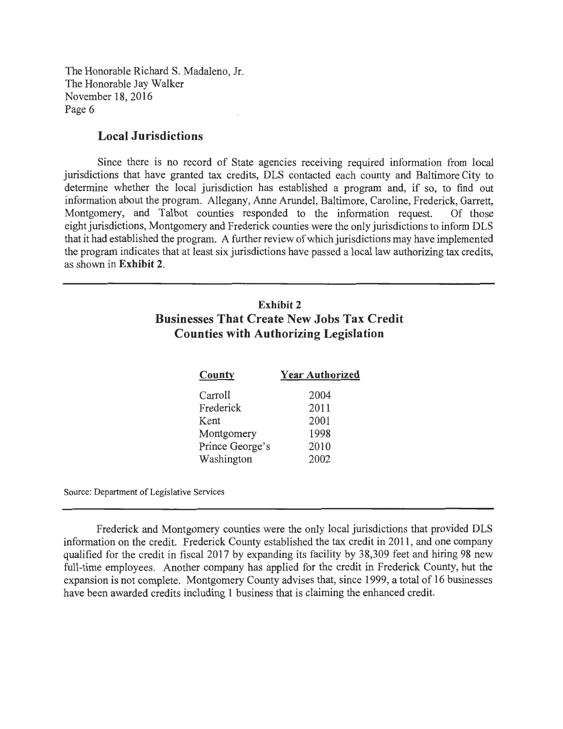#### **Local Jurisdictions**

Since there is no record of State agencies receiving required information from local jurisdictions that have granted tax credits, DLS contacted each county and Baltimore City to determine whether the local jurisdiction has established a program and, if so, to find out information about the program. Allegany, Anne Arundel, Baltimore, Caroline, Frederick, Garrett, Montgomery, and Talbot counties responded to the information request. Of those eight jurisdictions, Montgomery and Frederick counties were the only jurisdictions to inform DLS that it had established the program. A further review of which jurisdictions may have implemented the program indicates that at least six jurisdictions have passed a local law authorizing tax credits, as shown in **Exhibit 2.** 

# **Exhibit 2 Businesses That Create New Jobs Tax Credit Counties with Authorizing Legislation**

| County          | <b>Year Authorized</b> |
|-----------------|------------------------|
| Carroll         | 2004                   |
| Frederick       | 2011                   |
| Kent            | 2001                   |
| Montgomery      | 1998                   |
| Prince George's | 2010                   |
| Washington      | 2002                   |

Source: Department of Legislative Services

Frederick and Montgomery counties were the only local jurisdictions that provided DLS information on the credit. Frederick County established the tax credit in 2011 , and one company qualified for the credit in fiscal 2017 by expanding its facility by 38,309 feet and hiring 98 new full-time employees. Another company has applied for the credit in Frederick County, but the expansion is not complete. Montgomery County advises that, since 1999, a total of 16 businesses have been awarded credits including 1 business that is claiming the enhanced credit.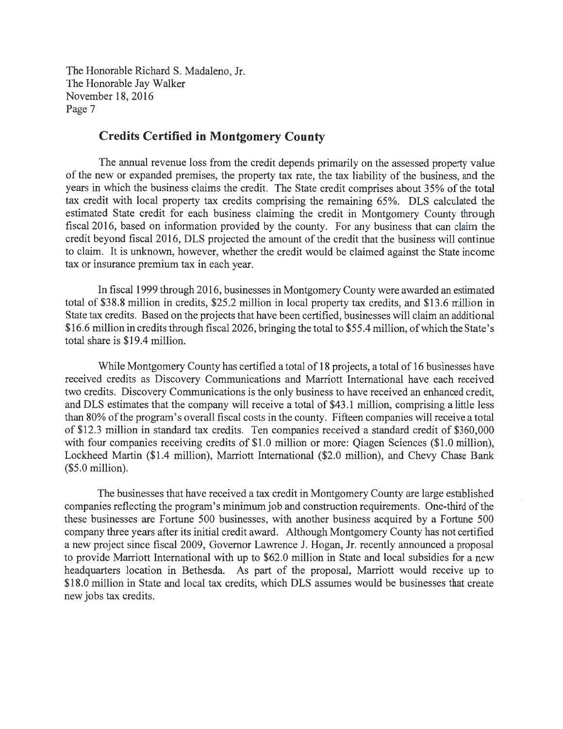### **Credits Certified in Montgomery County**

The annual revenue loss from the credit depends primarily on the assessed property value of the new or expanded premises, the property tax rate, the tax liability of the business, and the years in which the business claims the credit. The State credit comprises about 35% of the total tax credit with local property tax credits comprising the remaining 65%. DLS calculated the estimated State credit for each business claiming the credit in Montgomery County through fiscal 2016, based on information provided by the county. For any business that can claim the credit beyond fiscal 2016, DLS projected the amount of the credit that the business will continue to claim. It is unknown, however, whether the credit would be claimed against the State income tax or insurance premium tax in each year.

In fiscal 1999 through 2016, businesses in Montgomery County were awarded an estimated total of \$38.8 million in credits, \$25.2 million in local property tax credits, and \$13.6 million in State tax credits. Based on the projects that have been certified, businesses will claim an additional \$16.6 million in credits through fiscal 2026, bringing the total to \$55.4 million, of which the State's total share is \$19 .4 million.

While Montgomery County has certified a total of 18 projects, a total of 16 businesses have received credits as Discovery Communications and Marriott International have each received two credits. Discovery Communications is the only business to have received an enhanced credit, and DLS estimates that the company will receive a total of \$43.1 million, comprising a little less than 80% of the program's overall fiscal costs in the county. Fifteen companies will receive a total of \$12.3 million in standard tax credits. Ten companies received a standard credit of \$360,000 with four companies receiving credits of \$1.0 million or more: Qiagen Sciences (\$1.0 million), Lockheed Martin (\$1.4 million), Marriott International (\$2.0 million), and Chevy Chase Bank (\$5.0 million).

The businesses that have received a tax credit in Montgomery County are large established companies reflecting the program's minimum job and construction requirements. One-third of the these businesses are Fortune 500 businesses, with another business acquired by a Fortune 500 company three years after its initial credit award. Although Montgomery County has not certified a new project since fiscal 2009, Governor Lawrence J. Hogan, Jr. recently announced a proposal to provide Marriott International with up to \$62.0 million in State and local subsidies for a new headquarters location in Bethesda. As part of the proposal, Marriott would receive up to \$18.0 million in State and local tax credits, which DLS assumes would be businesses that create new jobs tax credits.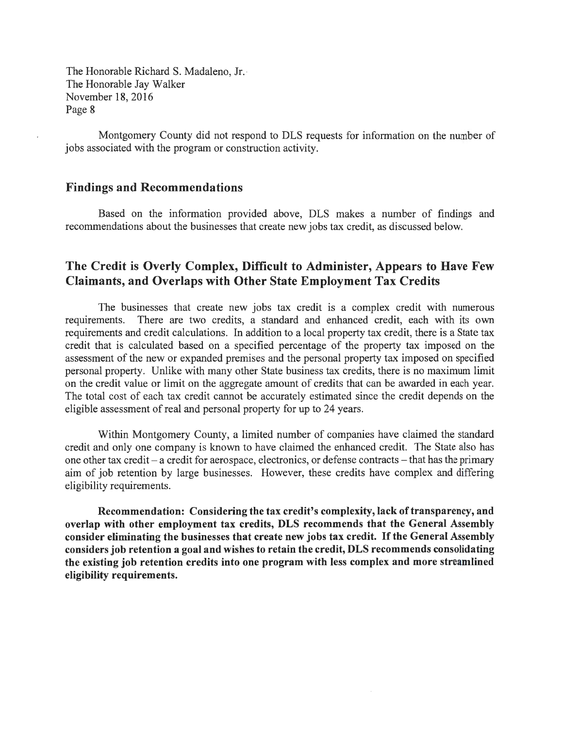Montgomery County did not respond to DLS requests for information on the number of jobs associated with the program or construction activity.

#### **Findings and Recommendations**

Based on the information provided above, DLS makes a number of findings and recommendations about the businesses that create new jobs tax credit, as discussed below.

## **The Credit is Overly Complex, Difficult to Administer, Appears to Have Few Claimants, and Overlaps with Other State Employment Tax Credits**

The businesses that create new jobs tax credit is a complex credit with numerous requirements. There are two credits, a standard and enhanced credit, each with its own requirements and credit calculations. In addition to a local property tax credit, there is a State tax credit that is calculated based on a specified percentage of the property tax imposed on the assessment of the new or expanded premises and the personal property tax imposed on specified personal property. Unlike with many other State business tax credits, there is no maximum limit on the credit value or limit on the aggregate amount of credits that can be awarded in each year. The total cost of each tax credit cannot be accurately estimated since the credit depends on the eligible assessment of real and personal property for up to 24 years.

Within Montgomery County, a limited number of companies have claimed the standard credit and only one company is known to have claimed the enhanced credit. The State also has one other tax credit - a credit for aerospace, electronics, or defense contracts - that has the primary aim of job retention by large businesses. However, these credits have complex and differing eligibility requirements.

**Recommendation: Considering the tax credit's complexity, lack of transparency, and overlap with other employment tax credits, DLS recommends that the General Assembly consider eliminating the businesses that create new jobs tax credit.** If **the General Assembly considers job retention a goal and wishes to retain the credit, DLS recommends consolidating the existing job retention credits into one program with less complex and more streamlined eligibility requirements.**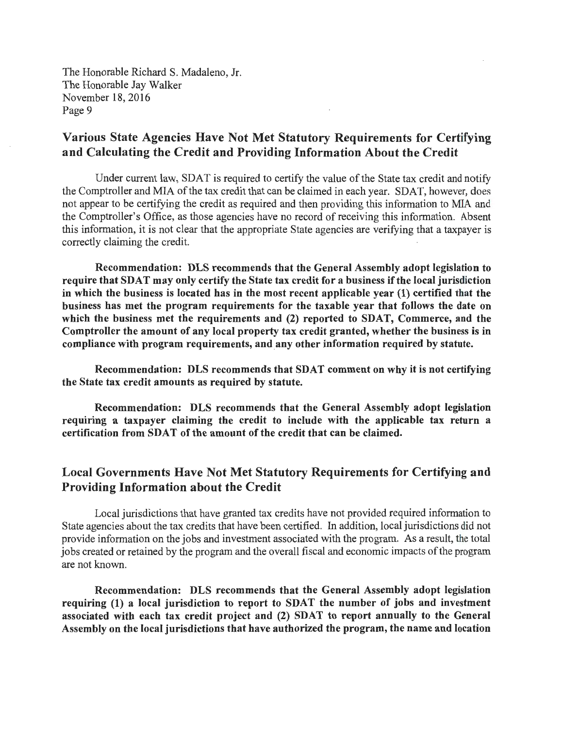# **Various State Agencies Have Not Met Statutory Requirements for Certifying and Calculating the Credit and Providing Information About the Credit**

Under current law, SDAT is required to certify the value of the State tax credit and notify the Comptroller and MIA of the tax credit that can be claimed in each year. SDAT, however, does not appear to be certifying the credit as required and then providing this information to MIA and the Comptroller's Office, as those agencies have no record of receiving this information. Absent this information, it is not clear that the appropriate State agencies are verifying that a taxpayer is correctly claiming the credit.

**Recommendation: DLS recommends that the General Assembly adopt legislation to require that SDA T may only certify the State tax credit for a business if the local jurisdiction in which the business is located has in the most recent applicable year (1) certified that the business has met the program requirements for the taxable year that follows the date on which the business met the requirements and (2) reported to SDAT, Commerce, and the Comptroller the amount of any local property tax credit granted, whether the business is in compliance with program requirements, and.any other information required by statute.** 

**Recommendation: DLS recommends that SDAT comment on why it is not certifying the State tax credit amounts as required by statute.** 

**Recommendation: DLS recommends that the General Assembly adopt legislation requiring a taxpayer claiming the credit to include with the applicable tax return a certification from SDAT of the amount of the credit that can be claimed.** 

# **Local Governments Have Not Met Statutory Requirements for Certifying and Providing Information about the Credit**

Local jurisdictions that have granted tax credits have not provided required information to State agencies about the tax credits that have been certified. In addition, local jurisdictions did not provide information on the jobs and investment associated with the program. As a result, the total jobs created or retained by the program and the overall fiscal and economic impacts of the program are not known.

**Recommendation: DLS recommends that the General Assembly adopt legislation requiring (1) a local jurisdiction to report to SDAT the number of jobs and investment associated with each tax credit project and (2) SDAT to report annually to the General Assembly on the local jurisdictions that have authorized the program, the name and location**